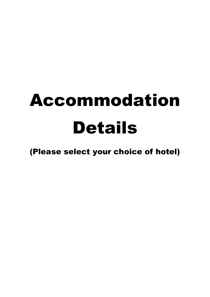# Accommodation Details

(Please select your choice of hotel)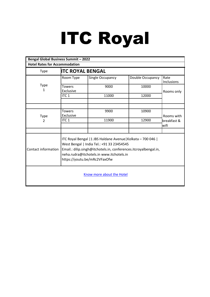## ITC Royal

| <b>Bengal Global Business Summit - 2022</b>                                                                                                                                                                                                                                       |                                      |                  |                  |                    |  |  |  |  |
|-----------------------------------------------------------------------------------------------------------------------------------------------------------------------------------------------------------------------------------------------------------------------------------|--------------------------------------|------------------|------------------|--------------------|--|--|--|--|
|                                                                                                                                                                                                                                                                                   | <b>Hotel Rates for Accommodation</b> |                  |                  |                    |  |  |  |  |
| Type                                                                                                                                                                                                                                                                              | <b>ITC ROYAL BENGAL</b>              |                  |                  |                    |  |  |  |  |
|                                                                                                                                                                                                                                                                                   | Room Type                            | Single Occupancy | Double Occupancy | Rate<br>Inclusions |  |  |  |  |
| Type<br>1                                                                                                                                                                                                                                                                         | <b>Towers</b><br>Exclusive           | 9000             | 10000            | Rooms only         |  |  |  |  |
|                                                                                                                                                                                                                                                                                   | ITC <sub>1</sub>                     | 11000            | 12000            |                    |  |  |  |  |
|                                                                                                                                                                                                                                                                                   |                                      |                  |                  |                    |  |  |  |  |
|                                                                                                                                                                                                                                                                                   |                                      |                  |                  |                    |  |  |  |  |
| Type                                                                                                                                                                                                                                                                              | <b>Towers</b><br>Exclusive           | 9900             | 10900            | Rooms with         |  |  |  |  |
| 2                                                                                                                                                                                                                                                                                 | ITC <sub>1</sub>                     | 11900            | 12900            | breakfast &        |  |  |  |  |
|                                                                                                                                                                                                                                                                                   |                                      |                  |                  | wifi               |  |  |  |  |
|                                                                                                                                                                                                                                                                                   |                                      |                  |                  |                    |  |  |  |  |
| ITC Royal Bengal   1 JBS Haldane Avenue   Kolkata - 700 046  <br>West Bengal   India Tel.: +91 33 23454545<br>Email.: dilip.singh@itchotels.in, conferences.itcroyalbengal.in,<br>Contact information<br>neha.rudra@itchotels.in www.itchotels.in<br>https://youtu.be/mRc2VFaxOfw |                                      |                  |                  |                    |  |  |  |  |
| Know more about the Hotel                                                                                                                                                                                                                                                         |                                      |                  |                  |                    |  |  |  |  |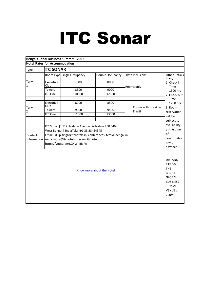## ITC Sonar

|                                                                                                                                                             |                   | Bengal Global Business Summit-2022                                                                                                                                                                                                                 |                  |                      |                                                       |  |  |
|-------------------------------------------------------------------------------------------------------------------------------------------------------------|-------------------|----------------------------------------------------------------------------------------------------------------------------------------------------------------------------------------------------------------------------------------------------|------------------|----------------------|-------------------------------------------------------|--|--|
| <b>Hotel Rates for Accommodation</b>                                                                                                                        |                   |                                                                                                                                                                                                                                                    |                  |                      |                                                       |  |  |
| Type                                                                                                                                                        | <b>ITC SONAR</b>  |                                                                                                                                                                                                                                                    |                  |                      |                                                       |  |  |
|                                                                                                                                                             |                   | Room Type Single Occupancy                                                                                                                                                                                                                         | Double Occupancy | Rate Inclusions      | Other Details<br>if any                               |  |  |
| Type                                                                                                                                                        | Executive<br>Club | 7500                                                                                                                                                                                                                                               | 8000             | Rooms only           | 1. Check in<br>Time:                                  |  |  |
|                                                                                                                                                             | <b>Towers</b>     | 8500                                                                                                                                                                                                                                               | 9000             |                      | 1500 hrs                                              |  |  |
|                                                                                                                                                             | <b>ITC One</b>    | 10000                                                                                                                                                                                                                                              | 12000            |                      | 2. Check out                                          |  |  |
|                                                                                                                                                             | Executive<br>Club | 8000                                                                                                                                                                                                                                               | 8500             | Rooms with breakfast | Time:<br>1200 hrs                                     |  |  |
| Type<br>2                                                                                                                                                   | <b>Towers</b>     | 9000                                                                                                                                                                                                                                               | 9500             | & wifi               | 3. Room                                               |  |  |
|                                                                                                                                                             | <b>ITC One</b>    | 11000                                                                                                                                                                                                                                              | 13000            |                      | reservation<br>will be                                |  |  |
|                                                                                                                                                             |                   |                                                                                                                                                                                                                                                    |                  |                      | subject to                                            |  |  |
| Contact<br>information                                                                                                                                      |                   | ITC Sonar   1 JBS Haldane Avenue   Kolkata - 700 046  <br>West Bengal   IndiaTel.: +91 33 23454545<br>Email.: dilip.singh@itchotels.in, conferences.itcroyalbengal.in,<br>neha.rudra@itchotels.in www.itchotels.in<br>https://youtu.be/DXYW IIBiFw |                  |                      | at the time<br>of<br>confirmatio<br>n with<br>advance |  |  |
| <b>DISTANC</b><br>E FROM<br><b>THE</b><br>Know more about the Hotel<br><b>BENGAL</b><br><b>GLOBAL</b><br><b>BUSINESS</b><br><b>SUMMIT</b><br>VENUE:<br>200m |                   |                                                                                                                                                                                                                                                    |                  |                      |                                                       |  |  |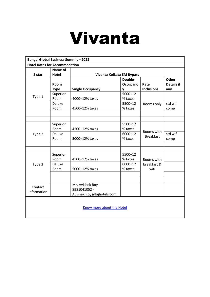## Vivanta

| <b>Bengal Global Business Summit - 2022</b> |               |                           |               |                   |                   |  |  |  |
|---------------------------------------------|---------------|---------------------------|---------------|-------------------|-------------------|--|--|--|
| <b>Hotel Rates for Accommodation</b>        |               |                           |               |                   |                   |  |  |  |
|                                             | Name of       |                           |               |                   |                   |  |  |  |
| 5 star                                      | <b>Hotel</b>  | Vivanta Kolkata EM Bypass |               |                   |                   |  |  |  |
|                                             |               |                           | <b>Double</b> |                   | <b>Other</b>      |  |  |  |
|                                             | Room          |                           | Occupanc      | Rate              | <b>Details if</b> |  |  |  |
|                                             | <b>Type</b>   | <b>Single Occupancy</b>   | v             | <b>Inclusions</b> | any               |  |  |  |
|                                             | Superior      |                           | 5000+12       |                   |                   |  |  |  |
| Type 1                                      | Room          | 4000+12% taxes            | % taxes       |                   |                   |  |  |  |
|                                             | <b>Deluxe</b> |                           | 5500+12       | Rooms only        | std wifi          |  |  |  |
|                                             | Room          | 4500+12% taxes            | % taxes       |                   | comp              |  |  |  |
|                                             |               |                           |               |                   |                   |  |  |  |
|                                             |               |                           |               |                   |                   |  |  |  |
|                                             | Superior      |                           | 5500+12       |                   |                   |  |  |  |
|                                             | Room          | 4500+12% taxes            | % taxes       |                   |                   |  |  |  |
| Type 2                                      | <b>Deluxe</b> |                           | 6000+12       | Rooms with        | std wifi          |  |  |  |
|                                             | Room          | 5000+12% taxes            | % taxes       | <b>Breakfast</b>  | comp              |  |  |  |
|                                             |               |                           |               |                   |                   |  |  |  |
|                                             |               |                           |               |                   |                   |  |  |  |
|                                             | Superior      |                           | 5500+12       |                   |                   |  |  |  |
|                                             | Room          | 4500+12% taxes            | % taxes       | Rooms with        |                   |  |  |  |
| Type 3                                      | Deluxe        |                           | 6000+12       | breakfast &       |                   |  |  |  |
|                                             | Room          | 5000+12% taxes            | % taxes       | wifi              |                   |  |  |  |
|                                             |               |                           |               |                   |                   |  |  |  |
|                                             |               |                           |               |                   |                   |  |  |  |
| Contact                                     |               | Mr. Avishek Roy -         |               |                   |                   |  |  |  |
| information                                 |               | 8981041052 -              |               |                   |                   |  |  |  |
|                                             |               | Avishek.Roy@tajhotels.com |               |                   |                   |  |  |  |
| Know more about the Hotel                   |               |                           |               |                   |                   |  |  |  |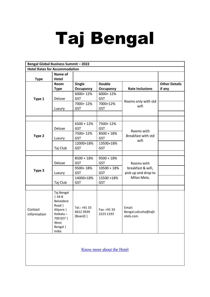# Taj Bengal

| <b>Bengal Global Business Summit - 2022</b> |                       |                           |                  |                                |                      |
|---------------------------------------------|-----------------------|---------------------------|------------------|--------------------------------|----------------------|
| <b>Hotel Rates for Accommodation</b>        |                       |                           |                  |                                |                      |
|                                             | Name of               |                           |                  |                                |                      |
| <b>Type</b>                                 | <b>Hotel</b>          |                           |                  |                                |                      |
|                                             | Room                  | <b>Single</b>             | <b>Double</b>    |                                | <b>Other Details</b> |
|                                             | <b>Type</b>           | <b>Occupancy</b>          | <b>Occupancy</b> | <b>Rate Inclusions</b>         | if any               |
|                                             |                       | 6000+12%                  | 6000+12%         |                                |                      |
| Type 1                                      | Deluxe                | <b>GST</b>                | <b>GST</b>       | Rooms only with std            |                      |
|                                             |                       | 7000+12%                  | 7000+12%         | wifi                           |                      |
|                                             | Luxury                | <b>GST</b>                | <b>GST</b>       |                                |                      |
|                                             |                       |                           |                  |                                |                      |
|                                             |                       |                           |                  |                                |                      |
|                                             |                       | $6500 + 12%$              | 7500+12%         |                                |                      |
|                                             | Deluxe                | <b>GST</b>                | <b>GST</b>       | Rooms with                     |                      |
| Type 2                                      |                       | 7500+12%                  | $8500 + 18%$     | Breakfast with std             |                      |
|                                             | Luxury                | <b>GST</b>                | <b>GST</b>       | wifi                           |                      |
|                                             |                       | 12000+18%                 | 13500+18%        |                                |                      |
|                                             | Taj Club              | <b>GST</b>                | <b>GST</b>       |                                |                      |
|                                             |                       |                           |                  |                                |                      |
|                                             |                       | $8500 + 18%$              | $9500 + 18%$     |                                |                      |
|                                             | Deluxe                | <b>GST</b>                | <b>GST</b>       | Rooms with                     |                      |
| Type 3                                      |                       | 9500+18%                  | $10500 + 18%$    | breakfast & wifi,              |                      |
|                                             | Luxury                | <b>GST</b>                | <b>GST</b>       | pick up and drop to            |                      |
|                                             |                       | 14000+18%                 | 15500 +18%       | Milan Mela.                    |                      |
|                                             | Taj Club              | <b>GST</b>                | <b>GST</b>       |                                |                      |
|                                             |                       |                           |                  |                                |                      |
|                                             | Taj Bengal<br>$ 34-B$ |                           |                  |                                |                      |
|                                             | Belvedere             |                           |                  |                                |                      |
|                                             | Road                  |                           |                  |                                |                      |
| Contact                                     | Alipore               | Tel.: +91 33<br>6612 3939 | Fax: +91 33      | Email:<br>Bengal.calcutta@tajh |                      |
| information                                 | Kolkata-              | (Board)                   | 2223 1193        | otels.com                      |                      |
|                                             | 700 027               |                           |                  |                                |                      |
|                                             | West<br>Bengal        |                           |                  |                                |                      |
|                                             | India                 |                           |                  |                                |                      |
|                                             |                       |                           |                  |                                |                      |
|                                             |                       |                           |                  |                                |                      |
|                                             |                       |                           |                  |                                |                      |

[Know more about the Hotel](https://www.tajhotels.com/en-in/taj/taj-bengal-kolkata/)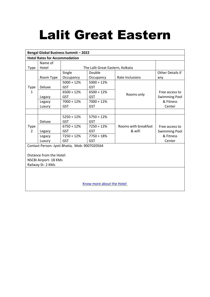### Lalit Great Eastern

| <b>Bengal Global Business Summit - 2022</b> |                          |                                               |                                  |                      |                         |  |
|---------------------------------------------|--------------------------|-----------------------------------------------|----------------------------------|----------------------|-------------------------|--|
| <b>Hotel Rates for Accommodation</b>        |                          |                                               |                                  |                      |                         |  |
|                                             | Name of                  |                                               |                                  |                      |                         |  |
| <b>Type</b>                                 | Hotel                    |                                               | The Lalit Great Eastern, Kolkata |                      |                         |  |
|                                             |                          | Single                                        | Double                           |                      | <b>Other Details if</b> |  |
|                                             | Room Type                | Occupancy                                     | Occupancy                        | Rate Inclusions      | any                     |  |
|                                             |                          | $5000 + 12%$                                  | $5000 + 12%$                     |                      |                         |  |
| <b>Type</b>                                 | Deluxe                   | <b>GST</b>                                    | <b>GST</b>                       |                      |                         |  |
| 1                                           |                          | $6500 + 12%$                                  | $6500 + 12%$                     | Rooms only           | Free access to          |  |
|                                             | Legacy                   | <b>GST</b>                                    | GST                              |                      | <b>Swimming Pool</b>    |  |
|                                             | Legacy                   | $7000 + 12%$                                  | $7000 + 12%$                     |                      | & Fitness               |  |
|                                             | Luxury                   | <b>GST</b>                                    | GST                              |                      | Center                  |  |
|                                             |                          |                                               |                                  |                      |                         |  |
|                                             |                          | $5250 + 12%$                                  | $5750 + 12%$                     |                      |                         |  |
|                                             | Deluxe                   | <b>GST</b>                                    | GST                              |                      |                         |  |
| Type                                        |                          | $6750 + 12%$                                  | $7250 + 12%$                     | Rooms with breakfast | Free access to          |  |
| $\mathfrak{D}$                              | Legacy                   | <b>GST</b>                                    | <b>GST</b>                       | & wifi               | <b>Swimming Pool</b>    |  |
|                                             | Legacy                   | $7250 + 12%$                                  | $7750 + 18%$                     |                      | & Fitness               |  |
|                                             | Luxury                   | <b>GST</b>                                    | <b>GST</b>                       |                      | Center                  |  |
|                                             |                          | Contact Person- Jyoti Bhatia, Mob: 9007020564 |                                  |                      |                         |  |
|                                             |                          |                                               |                                  |                      |                         |  |
|                                             | Distance from the Hotel: |                                               |                                  |                      |                         |  |
|                                             | NSCBI Airport-18 KMs     |                                               |                                  |                      |                         |  |
|                                             | Railway St-2 KMs         |                                               |                                  |                      |                         |  |
|                                             |                          |                                               |                                  |                      |                         |  |
|                                             |                          |                                               |                                  |                      |                         |  |
|                                             |                          |                                               |                                  |                      |                         |  |
|                                             |                          |                                               | Know more about the Hotel        |                      |                         |  |
|                                             |                          |                                               |                                  |                      |                         |  |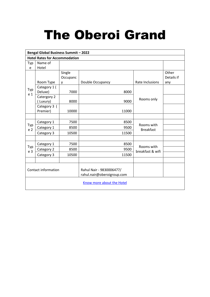### The Oberoi Grand

| <b>Bengal Global Business Summit - 2022</b> |                                      |          |                            |                                |            |  |  |  |  |
|---------------------------------------------|--------------------------------------|----------|----------------------------|--------------------------------|------------|--|--|--|--|
|                                             | <b>Hotel Rates for Accommodation</b> |          |                            |                                |            |  |  |  |  |
| Typ                                         | Name of                              |          |                            |                                |            |  |  |  |  |
| e                                           | Hotel                                |          |                            |                                |            |  |  |  |  |
|                                             |                                      | Single   |                            |                                | Other      |  |  |  |  |
|                                             |                                      | Occupanc |                            |                                | Details if |  |  |  |  |
|                                             | Room Type                            | <b>y</b> | Double Occupancy           | Rate Inclusions                | any        |  |  |  |  |
| Typ                                         | Category 1 (                         |          |                            |                                |            |  |  |  |  |
| e 1                                         | Deluxe)                              | 7000     | 8000                       |                                |            |  |  |  |  |
|                                             | Catergory 2                          |          |                            | Rooms only                     |            |  |  |  |  |
|                                             | (Luxury)                             | 8000     | 9000                       |                                |            |  |  |  |  |
|                                             | Category 3 (                         |          |                            |                                |            |  |  |  |  |
|                                             | Premier)                             | 10000    | 11000                      |                                |            |  |  |  |  |
|                                             |                                      |          |                            |                                |            |  |  |  |  |
|                                             | Category 1                           | 7500     | 8500                       | Rooms with                     |            |  |  |  |  |
| Typ<br>e <sub>2</sub>                       | Category 1                           | 8500     | 9500                       | <b>Breakfast</b>               |            |  |  |  |  |
|                                             | Category 3                           | 10500    | 11500                      |                                |            |  |  |  |  |
|                                             |                                      |          |                            |                                |            |  |  |  |  |
|                                             | Category 1                           | 7500     | 8500                       |                                |            |  |  |  |  |
| Typ<br>e 3                                  | Category 2                           | 8500     | 9500                       | Rooms with<br>breakfast & wifi |            |  |  |  |  |
|                                             | Category 3                           | 10500    | 11500                      |                                |            |  |  |  |  |
|                                             |                                      |          |                            |                                |            |  |  |  |  |
|                                             |                                      |          |                            |                                |            |  |  |  |  |
|                                             | Contact information                  |          | Rahul Nair - 9830006477/   |                                |            |  |  |  |  |
|                                             |                                      |          | rahul.nair@oberoigroup.com |                                |            |  |  |  |  |
|                                             | Know more about the Hotel            |          |                            |                                |            |  |  |  |  |
|                                             |                                      |          |                            |                                |            |  |  |  |  |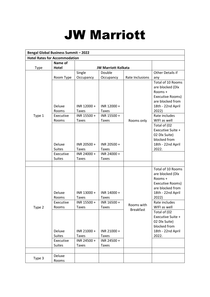### JW Marriott

| <b>Bengal Global Business Summit - 2022</b> |                                                                  |                                                                                           |                                                                                         |                  |                                                                                                                                                                                                                                                             |  |  |
|---------------------------------------------|------------------------------------------------------------------|-------------------------------------------------------------------------------------------|-----------------------------------------------------------------------------------------|------------------|-------------------------------------------------------------------------------------------------------------------------------------------------------------------------------------------------------------------------------------------------------------|--|--|
| <b>Hotel Rates for Accommodation</b>        |                                                                  |                                                                                           |                                                                                         |                  |                                                                                                                                                                                                                                                             |  |  |
|                                             | Name of                                                          |                                                                                           |                                                                                         |                  |                                                                                                                                                                                                                                                             |  |  |
| Type                                        | <b>Hotel</b>                                                     |                                                                                           | <b>JW Marriott Kolkata</b>                                                              |                  |                                                                                                                                                                                                                                                             |  |  |
|                                             |                                                                  | Single                                                                                    | Double                                                                                  |                  | Other Details if                                                                                                                                                                                                                                            |  |  |
|                                             | Room Type                                                        | Occupancy                                                                                 | Occupancy                                                                               | Rate Inclusions  | any                                                                                                                                                                                                                                                         |  |  |
| Type 1                                      | Deluxe<br>Rooms<br>Executive<br>Rooms<br>Deluxe<br><b>Suites</b> | INR 12000 +<br><b>Taxes</b><br>INR 15500 +<br><b>Taxes</b><br>INR 20500 +<br><b>Taxes</b> | INR 12000+<br><b>Taxes</b><br>INR 15500 +<br><b>Taxes</b><br>INR 20500+<br><b>Taxes</b> | Rooms only       | Total of 10 Rooms<br>are blocked (Dlx<br>Rooms +<br>Executive Rooms)<br>are blocked from<br>18th - 22nd April<br>2022)<br>Rate includes<br>WIFI as well<br>Total of (02<br>Executive Suite +<br>02 Dlx Suite)<br>blocked from<br>18th - 22nd April<br>2022. |  |  |
|                                             | Executive                                                        | INR 24000 +                                                                               | INR 24000 +                                                                             |                  |                                                                                                                                                                                                                                                             |  |  |
|                                             | <b>Suites</b>                                                    | <b>Taxes</b>                                                                              | <b>Taxes</b>                                                                            |                  |                                                                                                                                                                                                                                                             |  |  |
|                                             |                                                                  |                                                                                           |                                                                                         |                  |                                                                                                                                                                                                                                                             |  |  |
|                                             | Deluxe<br>Rooms                                                  | INR 13000 +<br><b>Taxes</b>                                                               | INR 14000 +<br><b>Taxes</b>                                                             |                  | Total of 10 Rooms<br>are blocked (Dlx<br>Rooms +<br>Executive Rooms)<br>are blocked from<br>18th - 22nd April<br>2022)                                                                                                                                      |  |  |
|                                             | Executive                                                        | INR 15500 +                                                                               | INR 16500 +                                                                             | Rooms with       | Rate includes                                                                                                                                                                                                                                               |  |  |
| Type 2                                      | Rooms<br>Deluxe<br><b>Suites</b><br>Executive                    | Taxes<br>INR 21000+<br><b>Taxes</b><br>INR 24500 +                                        | Taxes<br>INR 21000+<br><b>Taxes</b><br>INR 24500 +                                      | <b>Breakfast</b> | WIFI as well<br>Total of (02<br>Executive Suite +<br>02 Dlx Suite)<br>blocked from<br>18th - 22nd April<br>2022.                                                                                                                                            |  |  |
|                                             | <b>Suites</b>                                                    | Taxes                                                                                     | <b>Taxes</b>                                                                            |                  |                                                                                                                                                                                                                                                             |  |  |
|                                             |                                                                  |                                                                                           |                                                                                         |                  |                                                                                                                                                                                                                                                             |  |  |
| Type 3                                      | Deluxe<br>Rooms                                                  |                                                                                           |                                                                                         |                  |                                                                                                                                                                                                                                                             |  |  |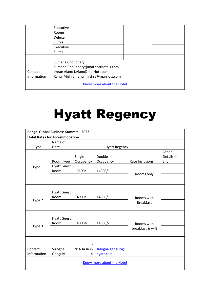|                           | Executive<br><b>Rooms</b> |                                         |  |  |  |
|---------------------------|---------------------------|-----------------------------------------|--|--|--|
|                           | <b>Deluxe</b>             |                                         |  |  |  |
|                           | <b>Suites</b>             |                                         |  |  |  |
|                           | Executive                 |                                         |  |  |  |
|                           | <b>Suites</b>             |                                         |  |  |  |
|                           |                           |                                         |  |  |  |
|                           | Sumana Choudhary:         |                                         |  |  |  |
|                           |                           | Sumana.Choudhary@marriotthotels.com     |  |  |  |
| Contact                   |                           | Imran Alam: I.Alam@marriott.com         |  |  |  |
| information               |                           | Rahul Mishra: rahul.mishra@marriott.com |  |  |  |
| Know more about the Hotel |                           |                                         |  |  |  |

#### Hyatt Regency

| <b>Bengal Global Business Summit - 2022</b> |                                      |                     |                               |                                |                            |  |  |  |
|---------------------------------------------|--------------------------------------|---------------------|-------------------------------|--------------------------------|----------------------------|--|--|--|
|                                             | <b>Hotel Rates for Accommodation</b> |                     |                               |                                |                            |  |  |  |
| Type                                        | Name of<br>Hotel                     |                     | <b>Hyatt Regency</b>          |                                |                            |  |  |  |
|                                             | Room Type                            | Single<br>Occupancy | Double<br>Occupancy           | Rate Inclusions                | Other<br>Details if<br>any |  |  |  |
| Type 1                                      | <b>Hyatt Guest</b><br>Room           | 13500/-             | 14000/-                       | Rooms only                     |                            |  |  |  |
|                                             |                                      |                     |                               |                                |                            |  |  |  |
| Type 2                                      | <b>Hyatt Guest</b><br>Room           | 14000/-             | 14500/-                       | Rooms with<br><b>Breakfast</b> |                            |  |  |  |
|                                             |                                      |                     |                               |                                |                            |  |  |  |
| Type 3                                      | <b>Hyatt Guest</b><br>Room           | 14000/-             | 14500/-                       | Rooms with<br>breakfast & wifi |                            |  |  |  |
|                                             |                                      |                     |                               |                                |                            |  |  |  |
| Contact<br>information                      | Sulogna<br>Ganguly                   | 916343435<br>4      | sulogna.ganguly@<br>hyatt.com |                                |                            |  |  |  |
| Know more about the Hotel                   |                                      |                     |                               |                                |                            |  |  |  |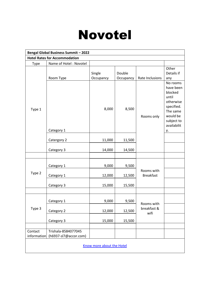#### Novotel

| <b>Bengal Global Business Summit - 2022</b> |                           |                     |                     |                                |                                                                                                                                 |  |  |  |
|---------------------------------------------|---------------------------|---------------------|---------------------|--------------------------------|---------------------------------------------------------------------------------------------------------------------------------|--|--|--|
| <b>Hotel Rates for Accommodation</b>        |                           |                     |                     |                                |                                                                                                                                 |  |  |  |
| Type                                        | Name of Hotel: Novotel    |                     |                     |                                |                                                                                                                                 |  |  |  |
| Type 1                                      | Room Type                 | Single<br>Occupancy | Double<br>Occupancy | Rate Inclusions                | Other<br>Details if<br>any                                                                                                      |  |  |  |
|                                             | Category 1                | 8,000               | 8,500               | Rooms only                     | No rooms<br>have been<br>blocked<br>until<br>otherwise<br>specified.<br>The same<br>would be<br>subject to<br>availabilit<br>у. |  |  |  |
|                                             | Catergory 2               | 11,000              | 11,500              |                                |                                                                                                                                 |  |  |  |
|                                             | Category 3                | 14,000              | 14,500              |                                |                                                                                                                                 |  |  |  |
|                                             |                           |                     |                     |                                |                                                                                                                                 |  |  |  |
|                                             | Category 1                | 9,000               | 9,500               |                                |                                                                                                                                 |  |  |  |
| Type 2                                      | Category 1                | 12,000              | 12,500              | Rooms with<br><b>Breakfast</b> |                                                                                                                                 |  |  |  |
|                                             | Category 3                | 15,000              | 15,500              |                                |                                                                                                                                 |  |  |  |
|                                             |                           |                     |                     |                                |                                                                                                                                 |  |  |  |
|                                             | Category 1                | 9,000               | 9,500               | Rooms with                     |                                                                                                                                 |  |  |  |
| Type 3                                      | Category 2                | 12,000              | 12,500              | breakfast &<br>wifi            |                                                                                                                                 |  |  |  |
|                                             | Category 3                | 15,000              | 15,500              |                                |                                                                                                                                 |  |  |  |
|                                             |                           |                     |                     |                                |                                                                                                                                 |  |  |  |
| Contact                                     | Trishala-8584077045       |                     |                     |                                |                                                                                                                                 |  |  |  |
| information                                 | (h6937-sl7@accor.com)     |                     |                     |                                |                                                                                                                                 |  |  |  |
|                                             | Know more about the Hotel |                     |                     |                                |                                                                                                                                 |  |  |  |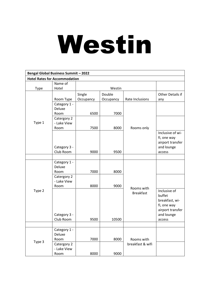# Westin

| <b>Bengal Global Business Summit - 2022</b> |              |           |           |                  |                                |  |  |
|---------------------------------------------|--------------|-----------|-----------|------------------|--------------------------------|--|--|
| <b>Hotel Rates for Accommodation</b>        |              |           |           |                  |                                |  |  |
|                                             | Name of      |           |           |                  |                                |  |  |
| Type                                        | Hotel        |           | Westin    |                  |                                |  |  |
|                                             |              | Single    | Double    |                  | Other Details if               |  |  |
|                                             | Room Type    | Occupancy | Occupancy | Rate Inclusions  | any                            |  |  |
|                                             | Category 1 - |           |           |                  |                                |  |  |
|                                             | Deluxe       |           |           |                  |                                |  |  |
|                                             | Room         | 6500      | 7000      |                  |                                |  |  |
|                                             | Catergory 2  |           |           |                  |                                |  |  |
| Type 1                                      | - Lake View  |           |           |                  |                                |  |  |
|                                             | Room         | 7500      | 8000      | Rooms only       |                                |  |  |
|                                             |              |           |           |                  | Inclusive of wi-               |  |  |
|                                             |              |           |           |                  | fi, one way                    |  |  |
|                                             | Category 3 - |           |           |                  | airport transfer<br>and lounge |  |  |
|                                             | Club Room    | 9000      | 9500      |                  | access                         |  |  |
|                                             |              |           |           |                  |                                |  |  |
|                                             | Category 1 - |           |           |                  |                                |  |  |
|                                             | Deluxe       |           |           |                  |                                |  |  |
|                                             | Room         | 7000      | 8000      |                  |                                |  |  |
|                                             | Catergory 2  |           |           |                  |                                |  |  |
|                                             | - Lake View  |           |           |                  |                                |  |  |
|                                             | Room         | 8000      | 9000      | Rooms with       |                                |  |  |
| Type 2                                      |              |           |           | <b>Breakfast</b> | Inclusive of                   |  |  |
|                                             |              |           |           |                  | buffet                         |  |  |
|                                             |              |           |           |                  | breakfast, wi-                 |  |  |
|                                             |              |           |           |                  | fi, one way                    |  |  |
|                                             |              |           |           |                  | airport transfer               |  |  |
|                                             | Category 3 - |           |           |                  | and lounge                     |  |  |
|                                             | Club Room    | 9500      | 10500     |                  | access                         |  |  |
|                                             | Category 1 - |           |           |                  |                                |  |  |
|                                             | Deluxe       |           |           |                  |                                |  |  |
|                                             | Room         | 7000      | 8000      | Rooms with       |                                |  |  |
| Type 3                                      | Catergory 2  |           |           | breakfast & wifi |                                |  |  |
|                                             | - Lake View  |           |           |                  |                                |  |  |
|                                             | Room         | 8000      | 9000      |                  |                                |  |  |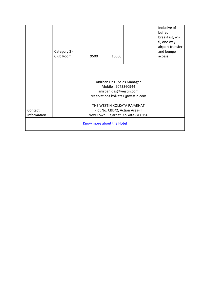|                                                                  | Category 3 -<br>Club Room                                                                                                                      | 9500 | 10500                          |  | Inclusive of<br>buffet<br>breakfast, wi-<br>fi, one way<br>airport transfer<br>and lounge<br>access |  |  |
|------------------------------------------------------------------|------------------------------------------------------------------------------------------------------------------------------------------------|------|--------------------------------|--|-----------------------------------------------------------------------------------------------------|--|--|
|                                                                  |                                                                                                                                                |      |                                |  |                                                                                                     |  |  |
| Contact                                                          | Anirban Das - Sales Manager<br>Mobile: 9073360944<br>anirban.das@westin.com<br>reservations.kolkata1@westin.com<br>THE WESTIN KOLKATA RAJARHAT |      |                                |  |                                                                                                     |  |  |
| information                                                      |                                                                                                                                                |      | Plot No. CBD/2, Action Area-II |  |                                                                                                     |  |  |
| New Town, Rajarhat, Kolkata -700156<br>Know more about the Hotel |                                                                                                                                                |      |                                |  |                                                                                                     |  |  |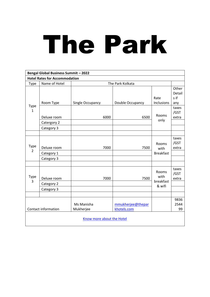# The Park

| <b>Bengal Global Business Summit - 2022</b> |                            |                         |                                  |                            |                                |  |  |  |  |  |
|---------------------------------------------|----------------------------|-------------------------|----------------------------------|----------------------------|--------------------------------|--|--|--|--|--|
| <b>Hotel Rates for Accommodation</b>        |                            |                         |                                  |                            |                                |  |  |  |  |  |
| Type                                        | Name of Hotel              | The Park Kolkata        |                                  |                            |                                |  |  |  |  |  |
| Type<br>$\mathbf{1}$                        | Room Type                  | Single Occupancy        | Double Occupancy                 | Rate<br>Inclusions         | Other<br>Detail<br>s if<br>any |  |  |  |  |  |
|                                             | Deluxe room<br>Catergory 2 | 6000                    | 6500                             | Rooms<br>only              | taxes<br>/GST<br>extra         |  |  |  |  |  |
|                                             | Category 3                 |                         |                                  |                            |                                |  |  |  |  |  |
|                                             |                            |                         |                                  |                            |                                |  |  |  |  |  |
| Type<br>$\overline{2}$                      | Deluxe room                | 7000                    | 7500                             | Rooms<br>with              | taxes<br>/GST<br>extra         |  |  |  |  |  |
|                                             | Category 1                 |                         |                                  | <b>Breakfast</b>           |                                |  |  |  |  |  |
|                                             | Category 3                 |                         |                                  |                            |                                |  |  |  |  |  |
| Type<br>3                                   | Deluxe room                | 7000                    | 7500                             | Rooms<br>with<br>breakfast | taxes<br>/GST<br>extra         |  |  |  |  |  |
|                                             | Category 2                 |                         |                                  | & wifi                     |                                |  |  |  |  |  |
|                                             | Category 3                 |                         |                                  |                            |                                |  |  |  |  |  |
|                                             |                            |                         |                                  |                            |                                |  |  |  |  |  |
| <b>Contact information</b>                  |                            | Ms Manisha<br>Mukherjee | mmukherjee@thepar<br>khotels.com |                            | 9836<br>2544<br>99             |  |  |  |  |  |
| Know more about the Hotel                   |                            |                         |                                  |                            |                                |  |  |  |  |  |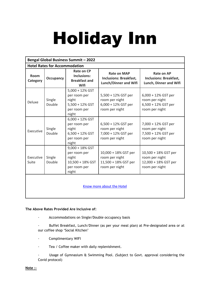# Holiday Inn

| <b>Bengal Global Business Summit - 2022</b> |                  |                                                                                            |                                                                                     |                                                                                   |  |  |  |  |  |
|---------------------------------------------|------------------|--------------------------------------------------------------------------------------------|-------------------------------------------------------------------------------------|-----------------------------------------------------------------------------------|--|--|--|--|--|
| <b>Hotel Rates for Accommodation</b>        |                  |                                                                                            |                                                                                     |                                                                                   |  |  |  |  |  |
| Room<br>Category                            | <b>Occupancy</b> | Rate on CP<br>Inclusions:<br><b>Breakfast and</b><br>Wifi                                  | <b>Rate on MAP</b><br><b>Inclusions: Breakfast,</b><br><b>Lunch/Dinner and Wifi</b> | <b>Rate on AP</b><br><b>Inclusions: Breakfast,</b><br>Lunch, Dinner and Wifi      |  |  |  |  |  |
| Deluxe                                      | Single<br>Double | 5,000 + 12% GST<br>per room per<br>night<br>$5,500 + 12\%$ GST<br>per room per<br>night    | 5,500 + 12% GST per<br>room per night<br>6,000 + 12% GST per<br>room per night      | $6,000 + 12\%$ GST per<br>room per night<br>6,500 + 12% GST per<br>room per night |  |  |  |  |  |
| Executive                                   | Single<br>Double | $6,000 + 12\%$ GST<br>per room per<br>night<br>$6,500 + 12\%$ GST<br>per room per<br>night | 6,500 + 12% GST per<br>room per night<br>7,000 + 12% GST per<br>room per night      | 7,000 + 12% GST per<br>room per night<br>7,500 + 12% GST per<br>room per night    |  |  |  |  |  |
| Executive<br>Suite                          | Single<br>Double | $9,000 + 18\%$ GST<br>per room per<br>night<br>10,500 + 18% GST<br>per room per<br>night   | 10,000 + 18% GST per<br>room per night<br>11,500 + 18% GST per<br>room per night    | 10,500 + 18% GST per<br>room per night<br>12,000 + 18% GST per<br>room per night  |  |  |  |  |  |
| Know more about the Hotel                   |                  |                                                                                            |                                                                                     |                                                                                   |  |  |  |  |  |

#### **The Above Rates Provided Are Inclusive of:**

- · Accommodations on Single/Double occupancy basis
- · Buffet Breakfast, Lunch/Dinner (as per your meal plan) at Pre-designated area or at our coffee shop 'Social Kitchen'
- · Complimentary WIFI
- · Tea / Coffee maker with daily replenishment.
- Usage of Gymnasium & Swimming Pool. (Subject to Govt. approval considering the Covid protocol)

#### **Note :-**